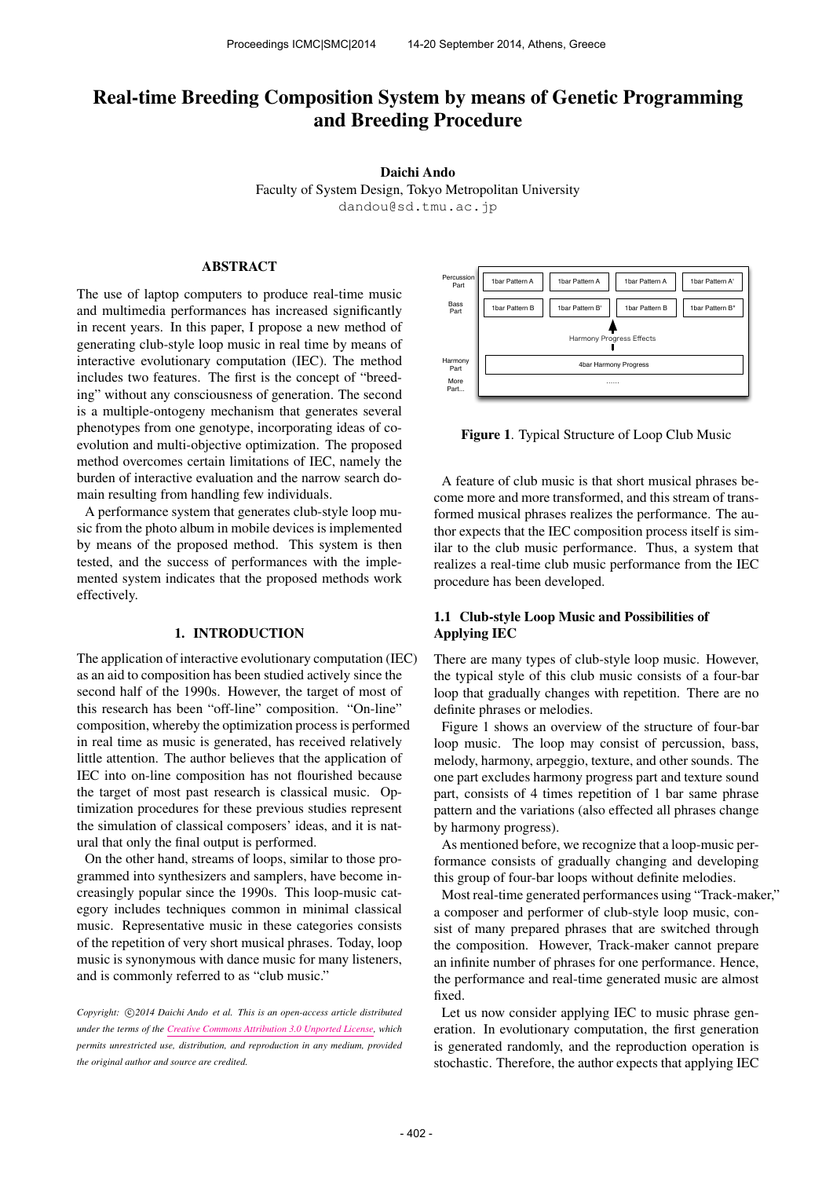# Real-time Breeding Composition System by means of Genetic Programming and Breeding Procedure

Daichi Ando

Faculty of System Design, Tokyo Metropolitan University [dandou@sd.tmu.ac.jp](mailto:dandou@sd.tmu.ac.jp)

# ABSTRACT

The use of laptop computers to produce real-time music and multimedia performances has increased significantly in recent years. In this paper, I propose a new method of generating club-style loop music in real time by means of interactive evolutionary computation (IEC). The method includes two features. The first is the concept of "breeding" without any consciousness of generation. The second is a multiple-ontogeny mechanism that generates several phenotypes from one genotype, incorporating ideas of coevolution and multi-objective optimization. The proposed method overcomes certain limitations of IEC, namely the burden of interactive evaluation and the narrow search domain resulting from handling few individuals.

A performance system that generates club-style loop music from the photo album in mobile devices is implemented by means of the proposed method. This system is then tested, and the success of performances with the implemented system indicates that the proposed methods work effectively.

### 1. INTRODUCTION

The application of interactive evolutionary computation (IEC) as an aid to composition has been studied actively since the second half of the 1990s. However, the target of most of this research has been "off-line" composition. "On-line" composition, whereby the optimization process is performed in real time as music is generated, has received relatively little attention. The author believes that the application of IEC into on-line composition has not flourished because the target of most past research is classical music. Optimization procedures for these previous studies represent the simulation of classical composers' ideas, and it is natural that only the final output is performed.

On the other hand, streams of loops, similar to those programmed into synthesizers and samplers, have become increasingly popular since the 1990s. This loop-music category includes techniques common in minimal classical music. Representative music in these categories consists of the repetition of very short musical phrases. Today, loop music is synonymous with dance music for many listeners, and is commonly referred to as "club music."

Copyright:  $\bigcirc$ 2014 Daichi Ando et al. This is an open-access article distributed *under the terms of the [Creative Commons Attribution 3.0 Unported License,](http://creativecommons.org/licenses/by/3.0/) which permits unrestricted use, distribution, and reproduction in any medium, provided the original author and source are credited.*



Figure 1. Typical Structure of Loop Club Music

A feature of club music is that short musical phrases become more and more transformed, and this stream of transformed musical phrases realizes the performance. The author expects that the IEC composition process itself is similar to the club music performance. Thus, a system that realizes a real-time club music performance from the IEC procedure has been developed.

# 1.1 Club-style Loop Music and Possibilities of Applying IEC

There are many types of club-style loop music. However, the typical style of this club music consists of a four-bar loop that gradually changes with repetition. There are no definite phrases or melodies.

Figure 1 shows an overview of the structure of four-bar loop music. The loop may consist of percussion, bass, melody, harmony, arpeggio, texture, and other sounds. The one part excludes harmony progress part and texture sound part, consists of 4 times repetition of 1 bar same phrase pattern and the variations (also effected all phrases change by harmony progress).

As mentioned before, we recognize that a loop-music performance consists of gradually changing and developing this group of four-bar loops without definite melodies.

Most real-time generated performances using "Track-maker," a composer and performer of club-style loop music, consist of many prepared phrases that are switched through the composition. However, Track-maker cannot prepare an infinite number of phrases for one performance. Hence, the performance and real-time generated music are almost fixed.

Let us now consider applying IEC to music phrase generation. In evolutionary computation, the first generation is generated randomly, and the reproduction operation is stochastic. Therefore, the author expects that applying IEC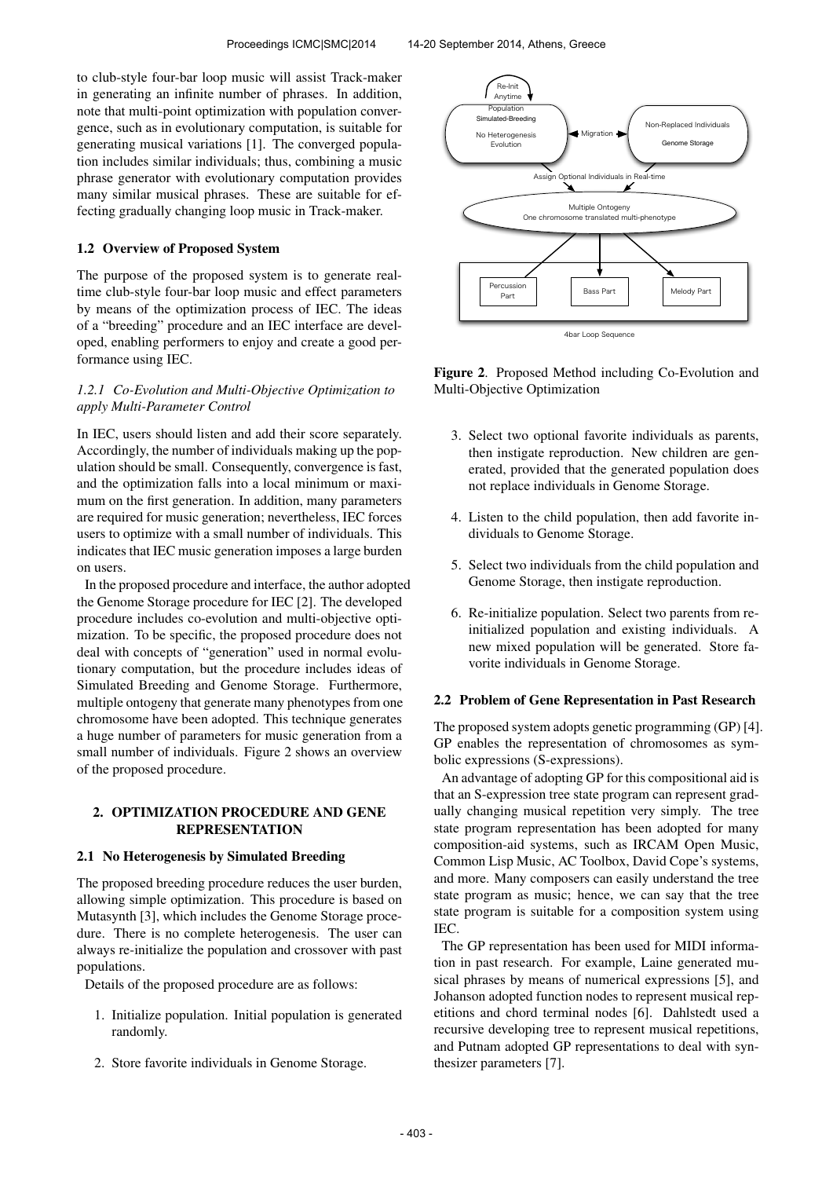to club-style four-bar loop music will assist Track-maker in generating an infinite number of phrases. In addition, note that multi-point optimization with population convergence, such as in evolutionary computation, is suitable for generating musical variations [1]. The converged population includes similar individuals; thus, combining a music phrase generator with evolutionary computation provides many similar musical phrases. These are suitable for effecting gradually changing loop music in Track-maker.

# 1.2 Overview of Proposed System

The purpose of the proposed system is to generate realtime club-style four-bar loop music and effect parameters by means of the optimization process of IEC. The ideas of a "breeding" procedure and an IEC interface are developed, enabling performers to enjoy and create a good performance using IEC.

# *1.2.1 Co-Evolution and Multi-Objective Optimization to apply Multi-Parameter Control*

In IEC, users should listen and add their score separately. Accordingly, the number of individuals making up the population should be small. Consequently, convergence is fast, and the optimization falls into a local minimum or maximum on the first generation. In addition, many parameters are required for music generation; nevertheless, IEC forces users to optimize with a small number of individuals. This indicates that IEC music generation imposes a large burden on users.

In the proposed procedure and interface, the author adopted the Genome Storage procedure for IEC [2]. The developed procedure includes co-evolution and multi-objective optimization. To be specific, the proposed procedure does not deal with concepts of "generation" used in normal evolutionary computation, but the procedure includes ideas of Simulated Breeding and Genome Storage. Furthermore, multiple ontogeny that generate many phenotypes from one chromosome have been adopted. This technique generates a huge number of parameters for music generation from a small number of individuals. Figure 2 shows an overview of the proposed procedure.

### 2. OPTIMIZATION PROCEDURE AND GENE REPRESENTATION

#### 2.1 No Heterogenesis by Simulated Breeding

The proposed breeding procedure reduces the user burden, allowing simple optimization. This procedure is based on Mutasynth [3], which includes the Genome Storage procedure. There is no complete heterogenesis. The user can always re-initialize the population and crossover with past populations.

Details of the proposed procedure are as follows:

- 1. Initialize population. Initial population is generated randomly.
- 2. Store favorite individuals in Genome Storage.



Figure 2. Proposed Method including Co-Evolution and Multi-Objective Optimization

- 3. Select two optional favorite individuals as parents, then instigate reproduction. New children are generated, provided that the generated population does not replace individuals in Genome Storage.
- 4. Listen to the child population, then add favorite individuals to Genome Storage.
- 5. Select two individuals from the child population and Genome Storage, then instigate reproduction.
- 6. Re-initialize population. Select two parents from reinitialized population and existing individuals. A new mixed population will be generated. Store favorite individuals in Genome Storage.

### 2.2 Problem of Gene Representation in Past Research

The proposed system adopts genetic programming (GP) [4]. GP enables the representation of chromosomes as symbolic expressions (S-expressions).

An advantage of adopting GP for this compositional aid is that an S-expression tree state program can represent gradually changing musical repetition very simply. The tree state program representation has been adopted for many composition-aid systems, such as IRCAM Open Music, Common Lisp Music, AC Toolbox, David Cope's systems, and more. Many composers can easily understand the tree state program as music; hence, we can say that the tree state program is suitable for a composition system using IEC.

The GP representation has been used for MIDI information in past research. For example, Laine generated musical phrases by means of numerical expressions [5], and Johanson adopted function nodes to represent musical repetitions and chord terminal nodes [6]. Dahlstedt used a recursive developing tree to represent musical repetitions, and Putnam adopted GP representations to deal with synthesizer parameters [7].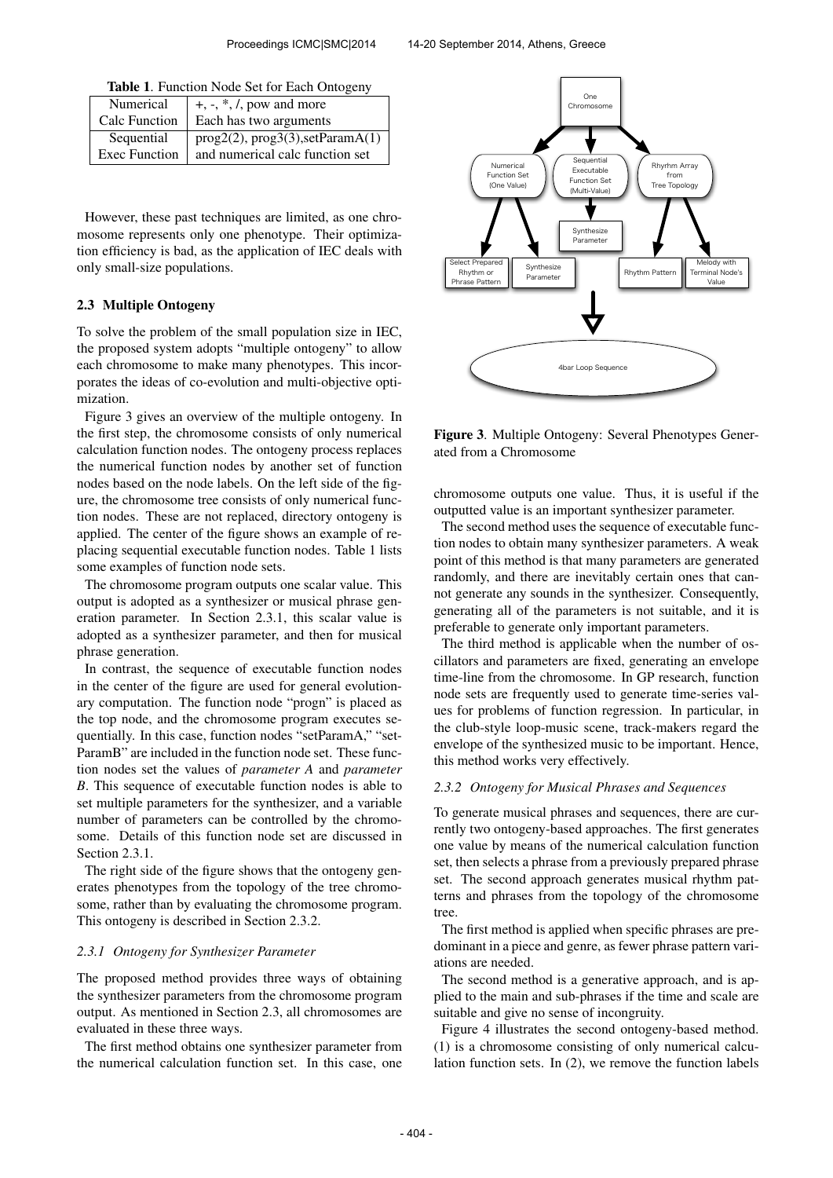|  |  | Table 1. Function Node Set for Each Ontogeny |  |
|--|--|----------------------------------------------|--|
|--|--|----------------------------------------------|--|

| Numerical            | $+, \frac{1}{2}, *, \frac{1}{2}$ , pow and more |
|----------------------|-------------------------------------------------|
| Calc Function        | Each has two arguments                          |
| Sequential           | prog2(2), prog3(3), setParamA(1)                |
| <b>Exec Function</b> | and numerical calc function set                 |

However, these past techniques are limited, as one chromosome represents only one phenotype. Their optimization efficiency is bad, as the application of IEC deals with only small-size populations.

### 2.3 Multiple Ontogeny

To solve the problem of the small population size in IEC, the proposed system adopts "multiple ontogeny" to allow each chromosome to make many phenotypes. This incorporates the ideas of co-evolution and multi-objective optimization.

Figure 3 gives an overview of the multiple ontogeny. In the first step, the chromosome consists of only numerical calculation function nodes. The ontogeny process replaces the numerical function nodes by another set of function nodes based on the node labels. On the left side of the figure, the chromosome tree consists of only numerical function nodes. These are not replaced, directory ontogeny is applied. The center of the figure shows an example of replacing sequential executable function nodes. Table 1 lists some examples of function node sets.

The chromosome program outputs one scalar value. This output is adopted as a synthesizer or musical phrase generation parameter. In Section 2.3.1, this scalar value is adopted as a synthesizer parameter, and then for musical phrase generation.

In contrast, the sequence of executable function nodes in the center of the figure are used for general evolutionary computation. The function node "progn" is placed as the top node, and the chromosome program executes sequentially. In this case, function nodes "setParamA," "set-ParamB" are included in the function node set. These function nodes set the values of *parameter A* and *parameter B*. This sequence of executable function nodes is able to set multiple parameters for the synthesizer, and a variable number of parameters can be controlled by the chromosome. Details of this function node set are discussed in Section 2.3.1.

The right side of the figure shows that the ontogeny generates phenotypes from the topology of the tree chromosome, rather than by evaluating the chromosome program. This ontogeny is described in Section 2.3.2.

#### *2.3.1 Ontogeny for Synthesizer Parameter*

The proposed method provides three ways of obtaining the synthesizer parameters from the chromosome program output. As mentioned in Section 2.3, all chromosomes are evaluated in these three ways.

The first method obtains one synthesizer parameter from the numerical calculation function set. In this case, one



Figure 3. Multiple Ontogeny: Several Phenotypes Generated from a Chromosome

chromosome outputs one value. Thus, it is useful if the outputted value is an important synthesizer parameter.

The second method uses the sequence of executable function nodes to obtain many synthesizer parameters. A weak point of this method is that many parameters are generated randomly, and there are inevitably certain ones that cannot generate any sounds in the synthesizer. Consequently, generating all of the parameters is not suitable, and it is preferable to generate only important parameters.

The third method is applicable when the number of oscillators and parameters are fixed, generating an envelope time-line from the chromosome. In GP research, function node sets are frequently used to generate time-series values for problems of function regression. In particular, in the club-style loop-music scene, track-makers regard the envelope of the synthesized music to be important. Hence, this method works very effectively.

#### *2.3.2 Ontogeny for Musical Phrases and Sequences*

To generate musical phrases and sequences, there are currently two ontogeny-based approaches. The first generates one value by means of the numerical calculation function set, then selects a phrase from a previously prepared phrase set. The second approach generates musical rhythm patterns and phrases from the topology of the chromosome tree.

The first method is applied when specific phrases are predominant in a piece and genre, as fewer phrase pattern variations are needed.

The second method is a generative approach, and is applied to the main and sub-phrases if the time and scale are suitable and give no sense of incongruity.

Figure 4 illustrates the second ontogeny-based method. (1) is a chromosome consisting of only numerical calculation function sets. In (2), we remove the function labels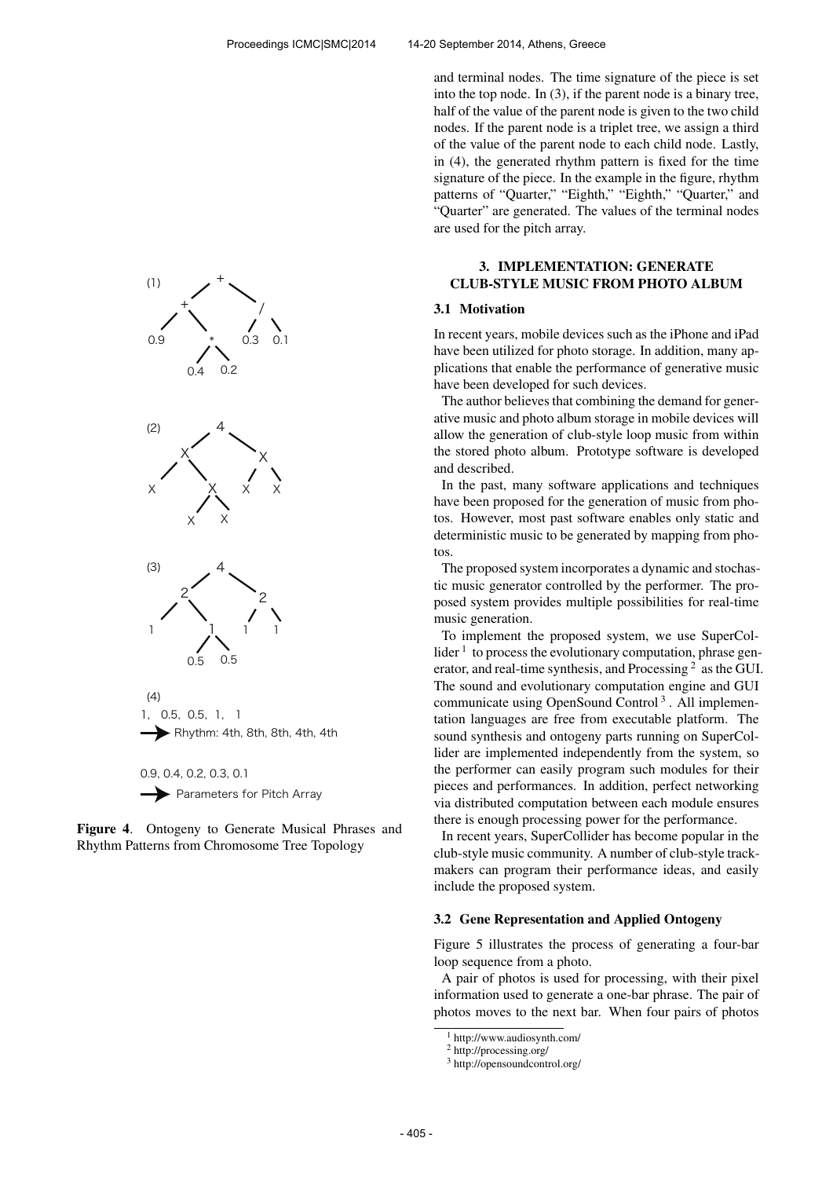



Figure 4. Ontogeny to Generate Musical Phrases and Rhythm Patterns from Chromosome Tree Topology

and terminal nodes. The time signature of the piece is set into the top node. In (3), if the parent node is a binary tree, half of the value of the parent node is given to the two child nodes. If the parent node is a triplet tree, we assign a third of the value of the parent node to each child node. Lastly, in (4), the generated rhythm pattern is fixed for the time signature of the piece. In the example in the figure, rhythm patterns of "Quarter," "Eighth," "Eighth," "Quarter," and "Quarter" are generated. The values of the terminal nodes are used for the pitch array.

# 3. IMPLEMENTATION: GENERATE CLUB-STYLE MUSIC FROM PHOTO ALBUM

#### 3.1 Motivation

In recent years, mobile devices such as the iPhone and iPad have been utilized for photo storage. In addition, many applications that enable the performance of generative music have been developed for such devices.

The author believes that combining the demand for generative music and photo album storage in mobile devices will allow the generation of club-style loop music from within the stored photo album. Prototype software is developed and described.

In the past, many software applications and techniques have been proposed for the generation of music from photos. However, most past software enables only static and deterministic music to be generated by mapping from photos.

The proposed system incorporates a dynamic and stochastic music generator controlled by the performer. The proposed system provides multiple possibilities for real-time music generation.

To implement the proposed system, we use SuperCollider  $<sup>1</sup>$  to process the evolutionary computation, phrase gen-</sup> erator, and real-time synthesis, and Processing<sup>2</sup> as the GUI. The sound and evolutionary computation engine and GUI communicate using OpenSound Control<sup>3</sup>. All implementation languages are free from executable platform. The sound synthesis and ontogeny parts running on SuperCollider are implemented independently from the system, so the performer can easily program such modules for their pieces and performances. In addition, perfect networking via distributed computation between each module ensures there is enough processing power for the performance.

In recent years, SuperCollider has become popular in the club-style music community. A number of club-style trackmakers can program their performance ideas, and easily include the proposed system.

### 3.2 Gene Representation and Applied Ontogeny

Figure 5 illustrates the process of generating a four-bar loop sequence from a photo.

A pair of photos is used for processing, with their pixel information used to generate a one-bar phrase. The pair of photos moves to the next bar. When four pairs of photos

<sup>1</sup> http://www.audiosynth.com/

<sup>2</sup> http://processing.org/

<sup>3</sup> http://opensoundcontrol.org/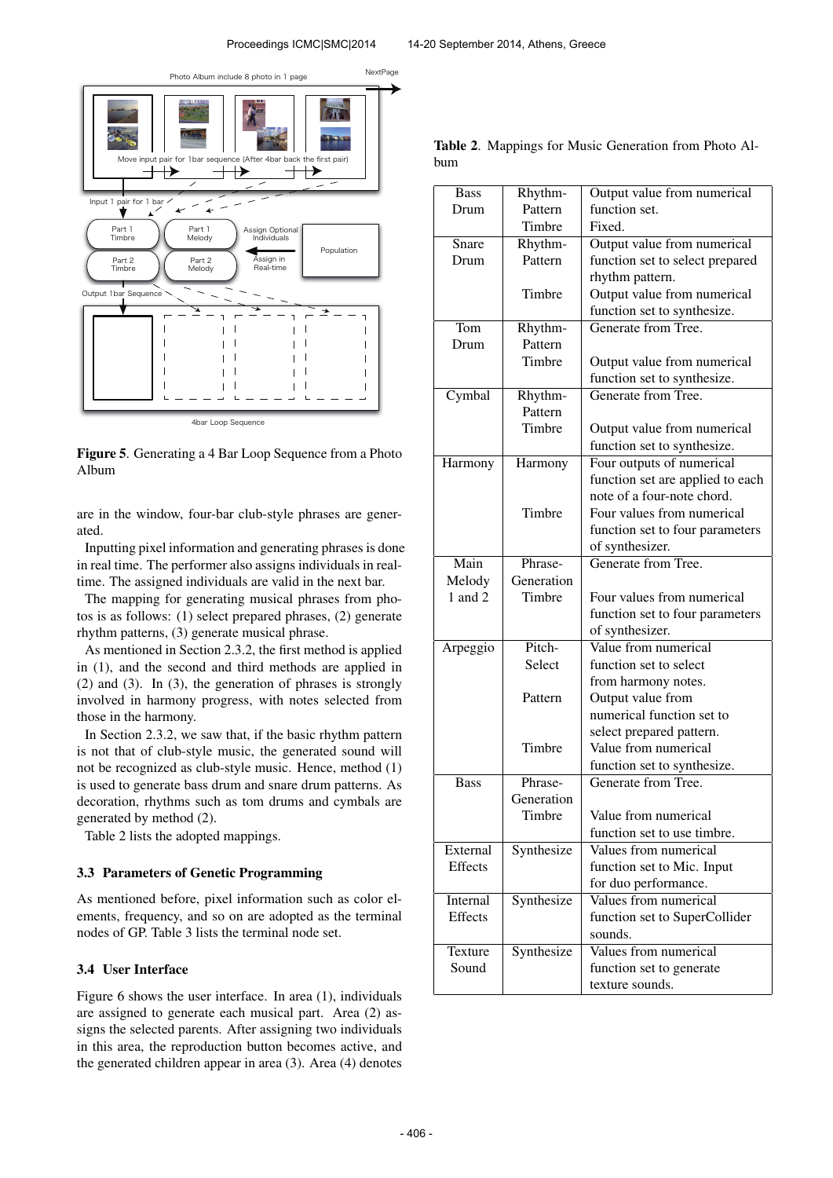

Figure 5. Generating a 4 Bar Loop Sequence from a Photo Album

are in the window, four-bar club-style phrases are generated.

Inputting pixel information and generating phrases is done in real time. The performer also assigns individuals in realtime. The assigned individuals are valid in the next bar.

The mapping for generating musical phrases from photos is as follows: (1) select prepared phrases, (2) generate rhythm patterns, (3) generate musical phrase.

As mentioned in Section 2.3.2, the first method is applied in (1), and the second and third methods are applied in (2) and (3). In (3), the generation of phrases is strongly involved in harmony progress, with notes selected from those in the harmony.

In Section 2.3.2, we saw that, if the basic rhythm pattern is not that of club-style music, the generated sound will not be recognized as club-style music. Hence, method (1) is used to generate bass drum and snare drum patterns. As decoration, rhythms such as tom drums and cymbals are generated by method (2).

Table 2 lists the adopted mappings.

## 3.3 Parameters of Genetic Programming

As mentioned before, pixel information such as color elements, frequency, and so on are adopted as the terminal nodes of GP. Table 3 lists the terminal node set.

# 3.4 User Interface

Figure 6 shows the user interface. In area (1), individuals are assigned to generate each musical part. Area (2) assigns the selected parents. After assigning two individuals in this area, the reproduction button becomes active, and the generated children appear in area (3). Area (4) denotes

| <b>Bass</b> | Rhythm-    | Output value from numerical      |
|-------------|------------|----------------------------------|
| Drum        | Pattern    | function set.                    |
|             | Timbre     | Fixed.                           |
| Snare       | Rhythm-    | Output value from numerical      |
| Drum        | Pattern    | function set to select prepared  |
|             |            | rhythm pattern.                  |
|             | Timbre     | Output value from numerical      |
|             |            | function set to synthesize.      |
| Tom         | Rhythm-    | Generate from Tree.              |
| Drum        | Pattern    |                                  |
|             | Timbre     | Output value from numerical      |
|             |            | function set to synthesize.      |
| Cymbal      | Rhythm-    | Generate from Tree.              |
|             | Pattern    |                                  |
|             | Timbre     | Output value from numerical      |
|             |            | function set to synthesize.      |
| Harmony     | Harmony    | Four outputs of numerical        |
|             |            | function set are applied to each |
|             |            | note of a four-note chord.       |
|             | Timbre     | Four values from numerical       |
|             |            | function set to four parameters  |
|             |            | of synthesizer.                  |
| Main        | Phrase-    | Generate from Tree.              |
| Melody      | Generation |                                  |
| $1$ and $2$ | Timbre     | Four values from numerical       |
|             |            | function set to four parameters  |
|             |            | of synthesizer.                  |
| Arpeggio    | Pitch-     | Value from numerical             |
|             | Select     | function set to select           |
|             |            | from harmony notes.              |
|             | Pattern    | Output value from                |
|             |            | numerical function set to        |
|             |            | select prepared pattern.         |
|             | Timbre     | Value from numerical             |
|             |            | function set to synthesize.      |
| <b>Bass</b> | Phrase-    | Generate from Tree.              |
|             | Generation |                                  |
|             | Timbre     | Value from numerical             |
|             |            | function set to use timbre.      |
| External    | Synthesize | Values from numerical            |
| Effects     |            | function set to Mic. Input       |
|             |            | for duo performance.             |
| Internal    | Synthesize | Values from numerical            |
| Effects     |            | function set to SuperCollider    |
|             |            | sounds.                          |
| Texture     | Synthesize | Values from numerical            |
| Sound       |            | function set to generate         |
|             |            | texture sounds.                  |
|             |            |                                  |

Table 2. Mappings for Music Generation from Photo Album